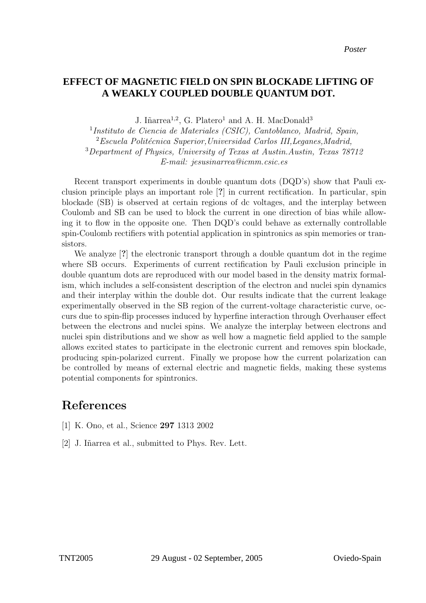## A WEAKLY COUPLED DOUBLE OUANTIM DOT  $\overline{\phantom{a}}$ **EFFECT OF MAGNETIC FIELD ON SPIN BLOCKADE LIFTING OF A WEAKLY COUPLED DOUBLE QUANTUM DOT.**

J. Iñarrea<sup>1,2</sup>, G. Platero<sup>1</sup> and A. H. MacDonald<sup>3</sup>

 Instituto de Ciencia de Materiales (CSIC), Cantoblanco, Madrid, Spain, Escuela Politécnica Superior, Universidad Carlos III, Leganes, Madrid, Department of Physics, University of Texas at Austin.Austin, Texas 78712 E-mail: jesusinarrea@icmm.csic.es

Recent transport experiments in double quantum dots (DQD's) show that Pauli exclusion principle plays an important role [?] in current rectification. In particular, spin blockade (SB) is observed at certain regions of dc voltages, and the interplay between Coulomb and SB can be used to block the current in one direction of bias while allowing it to flow in the opposite one. Then DQD's could behave as externally controllable spin-Coulomb rectifiers with potential application in spintronics as spin memories or transistors.

We analyze [?] the electronic transport through a double quantum dot in the regime where SB occurs. Experiments of current rectification by Pauli exclusion principle in double quantum dots are reproduced with our model based in the density matrix formalism, which includes a self-consistent description of the electron and nuclei spin dynamics and their interplay within the double dot. Our results indicate that the current leakage experimentally observed in the SB region of the current-voltage characteristic curve, occurs due to spin-flip processes induced by hyperfine interaction through Overhauser effect between the electrons and nuclei spins. We analyze the interplay between electrons and nuclei spin distributions and we show as well how a magnetic field applied to the sample allows excited states to participate in the electronic current and removes spin blockade, producing spin-polarized current. Finally we propose how the current polarization can be controlled by means of external electric and magnetic fields, making these systems potential components for spintronics.

## References

- [1] K. Ono, et al., Science 297 1313 2002
- [2] J. Iñarrea et al., submitted to Phys. Rev. Lett.